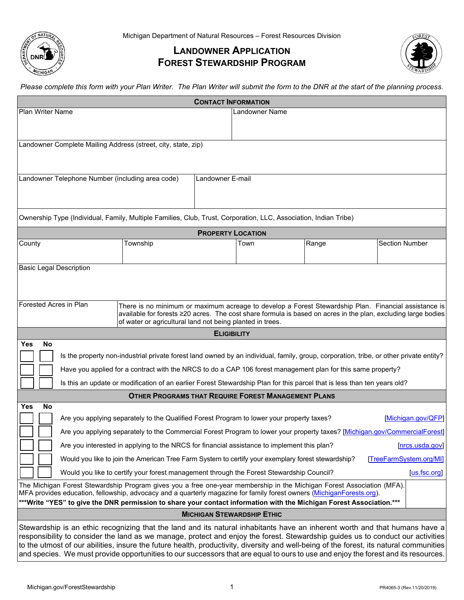

## **LANDOWNER APPLICATION FOREST STEWARDSHIP PROGRAM**



*Please complete this form with your Plan Writer. The Plan Writer will submit the form to the DNR at the start of the planning process.*

|                                                                                                                                                                                                                                                                                                                                                                                                                                                                                                                                                 |                                                                                                                                                                                                                                                        |                                                                                                                                                                            | <b>CONTACT INFORMATION</b> |                |       |                       |  |  |
|-------------------------------------------------------------------------------------------------------------------------------------------------------------------------------------------------------------------------------------------------------------------------------------------------------------------------------------------------------------------------------------------------------------------------------------------------------------------------------------------------------------------------------------------------|--------------------------------------------------------------------------------------------------------------------------------------------------------------------------------------------------------------------------------------------------------|----------------------------------------------------------------------------------------------------------------------------------------------------------------------------|----------------------------|----------------|-------|-----------------------|--|--|
| <b>Plan Writer Name</b>                                                                                                                                                                                                                                                                                                                                                                                                                                                                                                                         |                                                                                                                                                                                                                                                        |                                                                                                                                                                            |                            | Landowner Name |       |                       |  |  |
|                                                                                                                                                                                                                                                                                                                                                                                                                                                                                                                                                 |                                                                                                                                                                                                                                                        |                                                                                                                                                                            |                            |                |       |                       |  |  |
| Landowner Complete Mailing Address (street, city, state, zip)                                                                                                                                                                                                                                                                                                                                                                                                                                                                                   |                                                                                                                                                                                                                                                        |                                                                                                                                                                            |                            |                |       |                       |  |  |
|                                                                                                                                                                                                                                                                                                                                                                                                                                                                                                                                                 |                                                                                                                                                                                                                                                        |                                                                                                                                                                            |                            |                |       |                       |  |  |
| Landowner Telephone Number (including area code)<br>Landowner E-mail                                                                                                                                                                                                                                                                                                                                                                                                                                                                            |                                                                                                                                                                                                                                                        |                                                                                                                                                                            |                            |                |       |                       |  |  |
|                                                                                                                                                                                                                                                                                                                                                                                                                                                                                                                                                 |                                                                                                                                                                                                                                                        |                                                                                                                                                                            |                            |                |       |                       |  |  |
|                                                                                                                                                                                                                                                                                                                                                                                                                                                                                                                                                 | Ownership Type (Individual, Family, Multiple Families, Club, Trust, Corporation, LLC, Association, Indian Tribe)                                                                                                                                       |                                                                                                                                                                            |                            |                |       |                       |  |  |
| <b>PROPERTY LOCATION</b>                                                                                                                                                                                                                                                                                                                                                                                                                                                                                                                        |                                                                                                                                                                                                                                                        |                                                                                                                                                                            |                            |                |       |                       |  |  |
| County                                                                                                                                                                                                                                                                                                                                                                                                                                                                                                                                          |                                                                                                                                                                                                                                                        | Township                                                                                                                                                                   |                            | Town           | Range | <b>Section Number</b> |  |  |
| <b>Basic Legal Description</b>                                                                                                                                                                                                                                                                                                                                                                                                                                                                                                                  |                                                                                                                                                                                                                                                        |                                                                                                                                                                            |                            |                |       |                       |  |  |
|                                                                                                                                                                                                                                                                                                                                                                                                                                                                                                                                                 |                                                                                                                                                                                                                                                        |                                                                                                                                                                            |                            |                |       |                       |  |  |
|                                                                                                                                                                                                                                                                                                                                                                                                                                                                                                                                                 |                                                                                                                                                                                                                                                        |                                                                                                                                                                            |                            |                |       |                       |  |  |
| Forested Acres in Plan                                                                                                                                                                                                                                                                                                                                                                                                                                                                                                                          |                                                                                                                                                                                                                                                        | There is no minimum or maximum acreage to develop a Forest Stewardship Plan. Financial assistance is                                                                       |                            |                |       |                       |  |  |
|                                                                                                                                                                                                                                                                                                                                                                                                                                                                                                                                                 |                                                                                                                                                                                                                                                        | available for forests ≥20 acres. The cost share formula is based on acres in the plan, excluding large bodies<br>of water or agricultural land not being planted in trees. |                            |                |       |                       |  |  |
|                                                                                                                                                                                                                                                                                                                                                                                                                                                                                                                                                 |                                                                                                                                                                                                                                                        |                                                                                                                                                                            | <b>ELIGIBILITY</b>         |                |       |                       |  |  |
| Yes<br>No                                                                                                                                                                                                                                                                                                                                                                                                                                                                                                                                       |                                                                                                                                                                                                                                                        |                                                                                                                                                                            |                            |                |       |                       |  |  |
|                                                                                                                                                                                                                                                                                                                                                                                                                                                                                                                                                 | Is the property non-industrial private forest land owned by an individual, family, group, corporation, tribe, or other private entity?<br>Have you applied for a contract with the NRCS to do a CAP 106 forest management plan for this same property? |                                                                                                                                                                            |                            |                |       |                       |  |  |
|                                                                                                                                                                                                                                                                                                                                                                                                                                                                                                                                                 | Is this an update or modification of an earlier Forest Stewardship Plan for this parcel that is less than ten years old?                                                                                                                               |                                                                                                                                                                            |                            |                |       |                       |  |  |
| <b>OTHER PROGRAMS THAT REQUIRE FOREST MANAGEMENT PLANS</b>                                                                                                                                                                                                                                                                                                                                                                                                                                                                                      |                                                                                                                                                                                                                                                        |                                                                                                                                                                            |                            |                |       |                       |  |  |
| No<br>Yes                                                                                                                                                                                                                                                                                                                                                                                                                                                                                                                                       |                                                                                                                                                                                                                                                        |                                                                                                                                                                            |                            |                |       |                       |  |  |
|                                                                                                                                                                                                                                                                                                                                                                                                                                                                                                                                                 | Are you applying separately to the Qualified Forest Program to lower your property taxes?<br>[Michigan.gov/QFP]                                                                                                                                        |                                                                                                                                                                            |                            |                |       |                       |  |  |
| Are you applying separately to the Commercial Forest Program to lower your property taxes? [Michigan.gov/CommercialForest]                                                                                                                                                                                                                                                                                                                                                                                                                      |                                                                                                                                                                                                                                                        |                                                                                                                                                                            |                            |                |       |                       |  |  |
| Are you interested in applying to the NRCS for financial assistance to implement this plan?<br>[nrcs.usda.gov]                                                                                                                                                                                                                                                                                                                                                                                                                                  |                                                                                                                                                                                                                                                        |                                                                                                                                                                            |                            |                |       |                       |  |  |
| Would you like to join the American Tree Farm System to certify your exemplary forest stewardship?<br>[TreeFarmSystem.org/MI]                                                                                                                                                                                                                                                                                                                                                                                                                   |                                                                                                                                                                                                                                                        |                                                                                                                                                                            |                            |                |       |                       |  |  |
| Would you like to certify your forest management through the Forest Stewardship Council?<br>[us.fsc.org]<br>The Michigan Forest Stewardship Program gives you a free one-year membership in the Michigan Forest Association (MFA).                                                                                                                                                                                                                                                                                                              |                                                                                                                                                                                                                                                        |                                                                                                                                                                            |                            |                |       |                       |  |  |
| MFA provides education, fellowship, advocacy and a quarterly magazine for family forest owners (MichiganForests.org).                                                                                                                                                                                                                                                                                                                                                                                                                           |                                                                                                                                                                                                                                                        |                                                                                                                                                                            |                            |                |       |                       |  |  |
| ***Write "YES" to give the DNR permission to share your contact information with the Michigan Forest Association.***<br><b>MICHIGAN STEWARDSHIP ETHIC</b>                                                                                                                                                                                                                                                                                                                                                                                       |                                                                                                                                                                                                                                                        |                                                                                                                                                                            |                            |                |       |                       |  |  |
|                                                                                                                                                                                                                                                                                                                                                                                                                                                                                                                                                 |                                                                                                                                                                                                                                                        |                                                                                                                                                                            |                            |                |       |                       |  |  |
| Stewardship is an ethic recognizing that the land and its natural inhabitants have an inherent worth and that humans have a<br>responsibility to consider the land as we manage, protect and enjoy the forest. Stewardship guides us to conduct our activities<br>to the utmost of our abilities, insure the future health, productivity, diversity and well-being of the forest, its natural communities<br>and species. We must provide opportunities to our successors that are equal to ours to use and enjoy the forest and its resources. |                                                                                                                                                                                                                                                        |                                                                                                                                                                            |                            |                |       |                       |  |  |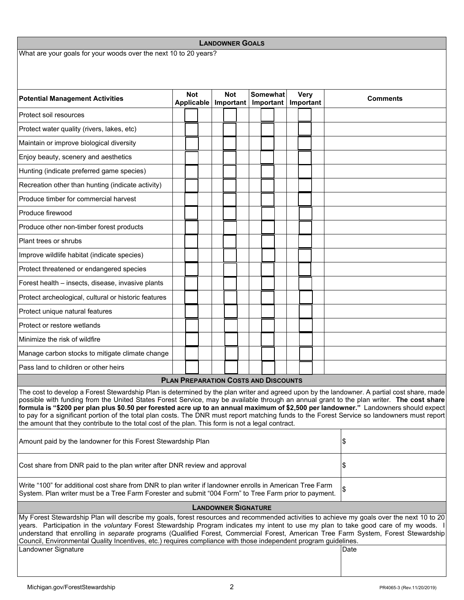| <b>LANDOWNER GOALS</b>                                                                                                                                                                                                                                                                                                                                                                                                                                                                                                                                                                                                                                                               |  |                          |  |                         |  |                       |  |                          |  |  |                 |  |  |
|--------------------------------------------------------------------------------------------------------------------------------------------------------------------------------------------------------------------------------------------------------------------------------------------------------------------------------------------------------------------------------------------------------------------------------------------------------------------------------------------------------------------------------------------------------------------------------------------------------------------------------------------------------------------------------------|--|--------------------------|--|-------------------------|--|-----------------------|--|--------------------------|--|--|-----------------|--|--|
| What are your goals for your woods over the next 10 to 20 years?                                                                                                                                                                                                                                                                                                                                                                                                                                                                                                                                                                                                                     |  |                          |  |                         |  |                       |  |                          |  |  |                 |  |  |
|                                                                                                                                                                                                                                                                                                                                                                                                                                                                                                                                                                                                                                                                                      |  |                          |  |                         |  |                       |  |                          |  |  |                 |  |  |
|                                                                                                                                                                                                                                                                                                                                                                                                                                                                                                                                                                                                                                                                                      |  |                          |  |                         |  |                       |  |                          |  |  |                 |  |  |
| <b>Potential Management Activities</b>                                                                                                                                                                                                                                                                                                                                                                                                                                                                                                                                                                                                                                               |  | <b>Not</b><br>Applicable |  | <b>Not</b><br>Important |  | Somewhat<br>Important |  | <b>Very</b><br>Important |  |  | <b>Comments</b> |  |  |
| Protect soil resources                                                                                                                                                                                                                                                                                                                                                                                                                                                                                                                                                                                                                                                               |  |                          |  |                         |  |                       |  |                          |  |  |                 |  |  |
| Protect water quality (rivers, lakes, etc)                                                                                                                                                                                                                                                                                                                                                                                                                                                                                                                                                                                                                                           |  |                          |  |                         |  |                       |  |                          |  |  |                 |  |  |
| Maintain or improve biological diversity                                                                                                                                                                                                                                                                                                                                                                                                                                                                                                                                                                                                                                             |  |                          |  |                         |  |                       |  |                          |  |  |                 |  |  |
| Enjoy beauty, scenery and aesthetics                                                                                                                                                                                                                                                                                                                                                                                                                                                                                                                                                                                                                                                 |  |                          |  |                         |  |                       |  |                          |  |  |                 |  |  |
| Hunting (indicate preferred game species)                                                                                                                                                                                                                                                                                                                                                                                                                                                                                                                                                                                                                                            |  |                          |  |                         |  |                       |  |                          |  |  |                 |  |  |
| Recreation other than hunting (indicate activity)                                                                                                                                                                                                                                                                                                                                                                                                                                                                                                                                                                                                                                    |  |                          |  |                         |  |                       |  |                          |  |  |                 |  |  |
| Produce timber for commercial harvest                                                                                                                                                                                                                                                                                                                                                                                                                                                                                                                                                                                                                                                |  |                          |  |                         |  |                       |  |                          |  |  |                 |  |  |
| Produce firewood                                                                                                                                                                                                                                                                                                                                                                                                                                                                                                                                                                                                                                                                     |  |                          |  |                         |  |                       |  |                          |  |  |                 |  |  |
| Produce other non-timber forest products                                                                                                                                                                                                                                                                                                                                                                                                                                                                                                                                                                                                                                             |  |                          |  |                         |  |                       |  |                          |  |  |                 |  |  |
| Plant trees or shrubs                                                                                                                                                                                                                                                                                                                                                                                                                                                                                                                                                                                                                                                                |  |                          |  |                         |  |                       |  |                          |  |  |                 |  |  |
| Improve wildlife habitat (indicate species)                                                                                                                                                                                                                                                                                                                                                                                                                                                                                                                                                                                                                                          |  |                          |  |                         |  |                       |  |                          |  |  |                 |  |  |
| Protect threatened or endangered species                                                                                                                                                                                                                                                                                                                                                                                                                                                                                                                                                                                                                                             |  |                          |  |                         |  |                       |  |                          |  |  |                 |  |  |
| Forest health - insects, disease, invasive plants                                                                                                                                                                                                                                                                                                                                                                                                                                                                                                                                                                                                                                    |  |                          |  |                         |  |                       |  |                          |  |  |                 |  |  |
| Protect archeological, cultural or historic features                                                                                                                                                                                                                                                                                                                                                                                                                                                                                                                                                                                                                                 |  |                          |  |                         |  |                       |  |                          |  |  |                 |  |  |
| Protect unique natural features                                                                                                                                                                                                                                                                                                                                                                                                                                                                                                                                                                                                                                                      |  |                          |  |                         |  |                       |  |                          |  |  |                 |  |  |
| Protect or restore wetlands                                                                                                                                                                                                                                                                                                                                                                                                                                                                                                                                                                                                                                                          |  |                          |  |                         |  |                       |  |                          |  |  |                 |  |  |
| Minimize the risk of wildfire                                                                                                                                                                                                                                                                                                                                                                                                                                                                                                                                                                                                                                                        |  |                          |  |                         |  |                       |  |                          |  |  |                 |  |  |
| Manage carbon stocks to mitigate climate change                                                                                                                                                                                                                                                                                                                                                                                                                                                                                                                                                                                                                                      |  |                          |  |                         |  |                       |  |                          |  |  |                 |  |  |
| Pass land to children or other heirs                                                                                                                                                                                                                                                                                                                                                                                                                                                                                                                                                                                                                                                 |  |                          |  |                         |  |                       |  |                          |  |  |                 |  |  |
| <b>PLAN PREPARATION COSTS AND DISCOUNTS</b>                                                                                                                                                                                                                                                                                                                                                                                                                                                                                                                                                                                                                                          |  |                          |  |                         |  |                       |  |                          |  |  |                 |  |  |
| The cost to develop a Forest Stewardship Plan is determined by the plan writer and agreed upon by the landowner. A partial cost share, made<br>possible with funding from the United States Forest Service, may be available through an annual grant to the plan writer. The cost share<br>formula is "\$200 per plan plus \$0.50 per forested acre up to an annual maximum of \$2,500 per landowner." Landowners should expect<br>to pay for a significant portion of the total plan costs. The DNR must report matching funds to the Forest Service so landowners must report<br>the amount that they contribute to the total cost of the plan. This form is not a legal contract. |  |                          |  |                         |  |                       |  |                          |  |  |                 |  |  |
| Amount paid by the landowner for this Forest Stewardship Plan                                                                                                                                                                                                                                                                                                                                                                                                                                                                                                                                                                                                                        |  |                          |  |                         |  |                       |  | \$                       |  |  |                 |  |  |
| Cost share from DNR paid to the plan writer after DNR review and approval                                                                                                                                                                                                                                                                                                                                                                                                                                                                                                                                                                                                            |  |                          |  |                         |  |                       |  | \$                       |  |  |                 |  |  |
| Write "100" for additional cost share from DNR to plan writer if landowner enrolls in American Tree Farm<br>System. Plan writer must be a Tree Farm Forester and submit "004 Form" to Tree Farm prior to payment.                                                                                                                                                                                                                                                                                                                                                                                                                                                                    |  |                          |  |                         |  |                       |  |                          |  |  |                 |  |  |
| <b>LANDOWNER SIGNATURE</b>                                                                                                                                                                                                                                                                                                                                                                                                                                                                                                                                                                                                                                                           |  |                          |  |                         |  |                       |  |                          |  |  |                 |  |  |
| My Forest Stewardship Plan will describe my goals, forest resources and recommended activities to achieve my goals over the next 10 to 20<br>years. Participation in the voluntary Forest Stewardship Program indicates my intent to use my plan to take good care of my woods. I<br>understand that enrolling in separate programs (Qualified Forest, Commercial Forest, American Tree Farm System, Forest Stewardship<br>Council, Environmental Quality Incentives, etc.) requires compliance with those independent program guidelines.<br>Landowner Signature<br>Date                                                                                                            |  |                          |  |                         |  |                       |  |                          |  |  |                 |  |  |